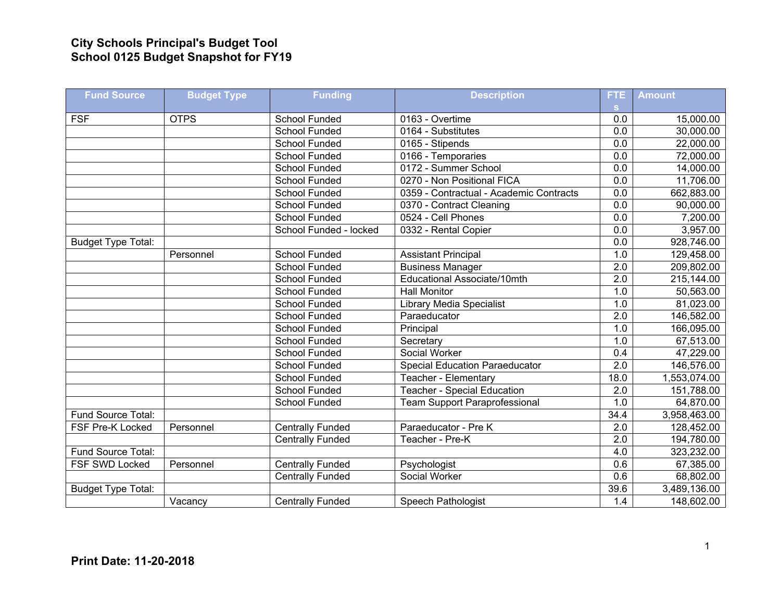## **City Schools Principal's Budget Tool School 0125 Budget Snapshot for FY19**

| <b>Fund Source</b>        | <b>Budget Type</b> | <b>Funding</b>          | <b>Description</b>                      | <b>FTE</b>       | <b>Amount</b> |
|---------------------------|--------------------|-------------------------|-----------------------------------------|------------------|---------------|
|                           |                    |                         |                                         | s.               |               |
| <b>FSF</b>                | <b>OTPS</b>        | School Funded           | 0163 - Overtime                         | 0.0              | 15,000.00     |
|                           |                    | <b>School Funded</b>    | 0164 - Substitutes                      | 0.0              | 30,000.00     |
|                           |                    | <b>School Funded</b>    | 0165 - Stipends                         | 0.0              | 22,000.00     |
|                           |                    | <b>School Funded</b>    | 0166 - Temporaries                      | 0.0              | 72,000.00     |
|                           |                    | School Funded           | 0172 - Summer School                    | $\overline{0.0}$ | 14,000.00     |
|                           |                    | School Funded           | 0270 - Non Positional FICA              | 0.0              | 11,706.00     |
|                           |                    | <b>School Funded</b>    | 0359 - Contractual - Academic Contracts | 0.0              | 662,883.00    |
|                           |                    | <b>School Funded</b>    | 0370 - Contract Cleaning                | $\overline{0.0}$ | 90,000.00     |
|                           |                    | School Funded           | 0524 - Cell Phones                      | 0.0              | 7,200.00      |
|                           |                    | School Funded - locked  | 0332 - Rental Copier                    | 0.0              | 3,957.00      |
| <b>Budget Type Total:</b> |                    |                         |                                         | $\overline{0.0}$ | 928,746.00    |
|                           | Personnel          | <b>School Funded</b>    | <b>Assistant Principal</b>              | 1.0              | 129,458.00    |
|                           |                    | <b>School Funded</b>    | <b>Business Manager</b>                 | $\overline{2.0}$ | 209,802.00    |
|                           |                    | <b>School Funded</b>    | Educational Associate/10mth             | $\overline{2.0}$ | 215,144.00    |
|                           |                    | School Funded           | <b>Hall Monitor</b>                     | 1.0              | 50,563.00     |
|                           |                    | <b>School Funded</b>    | <b>Library Media Specialist</b>         | 1.0              | 81,023.00     |
|                           |                    | <b>School Funded</b>    | Paraeducator                            | $\overline{2.0}$ | 146,582.00    |
|                           |                    | School Funded           | Principal                               | 1.0              | 166,095.00    |
|                           |                    | School Funded           | Secretary                               | 1.0              | 67,513.00     |
|                           |                    | <b>School Funded</b>    | Social Worker                           | $\overline{0.4}$ | 47,229.00     |
|                           |                    | School Funded           | <b>Special Education Paraeducator</b>   | $\overline{2.0}$ | 146,576.00    |
|                           |                    | School Funded           | Teacher - Elementary                    | 18.0             | 1,553,074.00  |
|                           |                    | <b>School Funded</b>    | <b>Teacher - Special Education</b>      | $\overline{2.0}$ | 151,788.00    |
|                           |                    | <b>School Funded</b>    | <b>Team Support Paraprofessional</b>    | 1.0              | 64,870.00     |
| Fund Source Total:        |                    |                         |                                         | 34.4             | 3,958,463.00  |
| FSF Pre-K Locked          | Personnel          | <b>Centrally Funded</b> | Paraeducator - Pre K                    | $\overline{2.0}$ | 128,452.00    |
|                           |                    | <b>Centrally Funded</b> | Teacher - Pre-K                         | 2.0              | 194,780.00    |
| Fund Source Total:        |                    |                         |                                         | 4.0              | 323,232.00    |
| FSF SWD Locked            | Personnel          | <b>Centrally Funded</b> | Psychologist                            | $\overline{0.6}$ | 67,385.00     |
|                           |                    | <b>Centrally Funded</b> | Social Worker                           | 0.6              | 68,802.00     |
| <b>Budget Type Total:</b> |                    |                         |                                         | 39.6             | 3,489,136.00  |
|                           | Vacancy            | <b>Centrally Funded</b> | <b>Speech Pathologist</b>               | 1.4              | 148,602.00    |